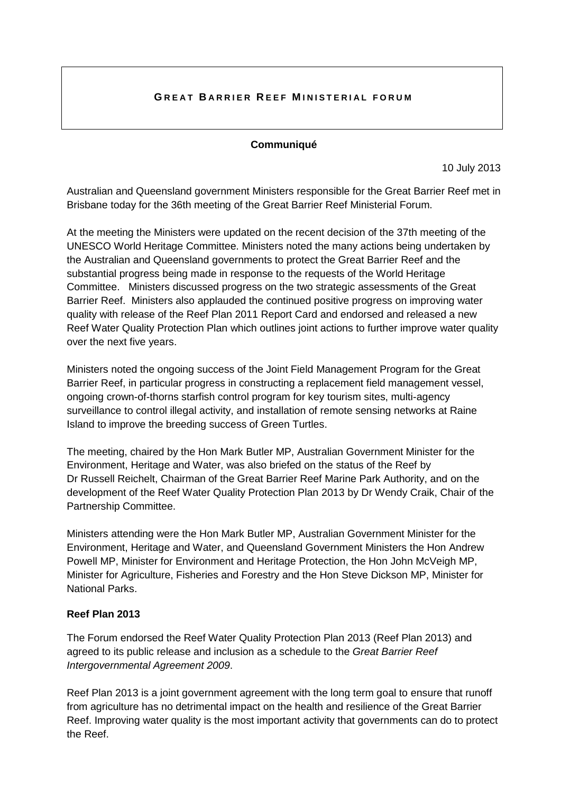## **GREAT BARRIER REEF MINISTERIAL FORUM**

#### **Communiqué**

10 July 2013

Australian and Queensland government Ministers responsible for the Great Barrier Reef met in Brisbane today for the 36th meeting of the Great Barrier Reef Ministerial Forum.

At the meeting the Ministers were updated on the recent decision of the 37th meeting of the UNESCO World Heritage Committee. Ministers noted the many actions being undertaken by the Australian and Queensland governments to protect the Great Barrier Reef and the substantial progress being made in response to the requests of the World Heritage Committee. Ministers discussed progress on the two strategic assessments of the Great Barrier Reef. Ministers also applauded the continued positive progress on improving water quality with release of the Reef Plan 2011 Report Card and endorsed and released a new Reef Water Quality Protection Plan which outlines joint actions to further improve water quality over the next five years.

Ministers noted the ongoing success of the Joint Field Management Program for the Great Barrier Reef, in particular progress in constructing a replacement field management vessel, ongoing crown-of-thorns starfish control program for key tourism sites, multi-agency surveillance to control illegal activity, and installation of remote sensing networks at Raine Island to improve the breeding success of Green Turtles.

The meeting, chaired by the Hon Mark Butler MP, Australian Government Minister for the Environment, Heritage and Water, was also briefed on the status of the Reef by Dr Russell Reichelt, Chairman of the Great Barrier Reef Marine Park Authority, and on the development of the Reef Water Quality Protection Plan 2013 by Dr Wendy Craik, Chair of the Partnership Committee.

Ministers attending were the Hon Mark Butler MP, Australian Government Minister for the Environment, Heritage and Water, and Queensland Government Ministers the Hon Andrew Powell MP, Minister for Environment and Heritage Protection, the Hon John McVeigh MP, Minister for Agriculture, Fisheries and Forestry and the Hon Steve Dickson MP, Minister for National Parks.

## **Reef Plan 2013**

The Forum endorsed the Reef Water Quality Protection Plan 2013 (Reef Plan 2013) and agreed to its public release and inclusion as a schedule to the *Great Barrier Reef Intergovernmental Agreement 2009*.

Reef Plan 2013 is a joint government agreement with the long term goal to ensure that runoff from agriculture has no detrimental impact on the health and resilience of the Great Barrier Reef. Improving water quality is the most important activity that governments can do to protect the Reef.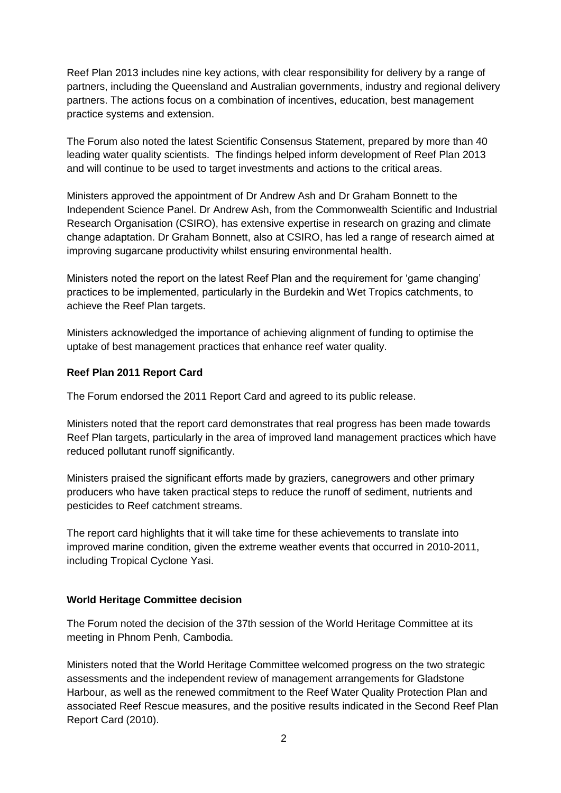Reef Plan 2013 includes nine key actions, with clear responsibility for delivery by a range of partners, including the Queensland and Australian governments, industry and regional delivery partners. The actions focus on a combination of incentives, education, best management practice systems and extension.

The Forum also noted the latest Scientific Consensus Statement, prepared by more than 40 leading water quality scientists. The findings helped inform development of Reef Plan 2013 and will continue to be used to target investments and actions to the critical areas.

Ministers approved the appointment of Dr Andrew Ash and Dr Graham Bonnett to the Independent Science Panel. Dr Andrew Ash, from the Commonwealth Scientific and Industrial Research Organisation (CSIRO), has extensive expertise in research on grazing and climate change adaptation. Dr Graham Bonnett, also at CSIRO, has led a range of research aimed at improving sugarcane productivity whilst ensuring environmental health.

Ministers noted the report on the latest Reef Plan and the requirement for 'game changing' practices to be implemented, particularly in the Burdekin and Wet Tropics catchments, to achieve the Reef Plan targets.

Ministers acknowledged the importance of achieving alignment of funding to optimise the uptake of best management practices that enhance reef water quality.

# **Reef Plan 2011 Report Card**

The Forum endorsed the 2011 Report Card and agreed to its public release.

Ministers noted that the report card demonstrates that real progress has been made towards Reef Plan targets, particularly in the area of improved land management practices which have reduced pollutant runoff significantly.

Ministers praised the significant efforts made by graziers, canegrowers and other primary producers who have taken practical steps to reduce the runoff of sediment, nutrients and pesticides to Reef catchment streams.

The report card highlights that it will take time for these achievements to translate into improved marine condition, given the extreme weather events that occurred in 2010-2011, including Tropical Cyclone Yasi.

### **World Heritage Committee decision**

The Forum noted the decision of the 37th session of the World Heritage Committee at its meeting in Phnom Penh, Cambodia.

Ministers noted that the World Heritage Committee welcomed progress on the two strategic assessments and the independent review of management arrangements for Gladstone Harbour, as well as the renewed commitment to the Reef Water Quality Protection Plan and associated Reef Rescue measures, and the positive results indicated in the Second Reef Plan Report Card (2010).